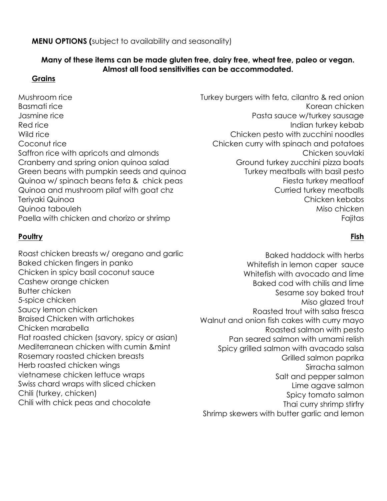#### **MENU OPTIONS (**subject to availability and seasonality)

# **Many of these items can be made gluten free, dairy free, wheat free, paleo or vegan. Almost all food sensitivities can be accommodated.**

## **Grains**

Mushroom rice Basmati rice Jasmine rice Red rice Wild rice Coconut rice Saffron rice with apricots and almonds Cranberry and spring onion quinoa salad Green beans with pumpkin seeds and quinoa Quinoa w/ spinach beans feta & chick peas Quinoa and mushroom pilaf with goat chz Teriyaki Quinoa Quinoa tabouleh Paella with chicken and chorizo or shrimp

# **Poultry**

Roast chicken breasts w/ oregano and garlic Baked chicken fingers in panko Chicken in spicy basil coconut sauce Cashew orange chicken Butter chicken 5-spice chicken Saucy lemon chicken Braised Chicken with artichokes Chicken marabella Flat roasted chicken (savory, spicy or asian) Mediterranean chicken with cumin &mint Rosemary roasted chicken breasts Herb roasted chicken wings vietnamese chicken lettuce wraps Swiss chard wraps with sliced chicken Chili (turkey, chicken) Chili with chick peas and chocolate

Turkey burgers with feta, cilantro & red onion Korean chicken Pasta sauce w/turkey sausage Indian turkey kebab Chicken pesto with zucchini noodles Chicken curry with spinach and potatoes Chicken souvlaki Ground turkey zucchini pizza boats Turkey meatballs with basil pesto Fiesta turkey meatloaf Curried turkey meatballs Chicken kebabs Miso chicken Fajitas

# **Fish**

Baked haddock with herbs Whitefish in lemon caper sauce Whitefish with avocado and lime Baked cod with chilis and lime Sesame soy baked trout Miso glazed trout Roasted trout with salsa fresca Walnut and onion fish cakes with curry mayo Roasted salmon with pesto Pan seared salmon with umami relish Spicy grilled salmon with avacado salsa Grilled salmon paprika Sirracha salmon Salt and pepper salmon Lime agave salmon Spicy tomato salmon Thai curry shrimp stirfry Shrimp skewers with butter garlic and lemon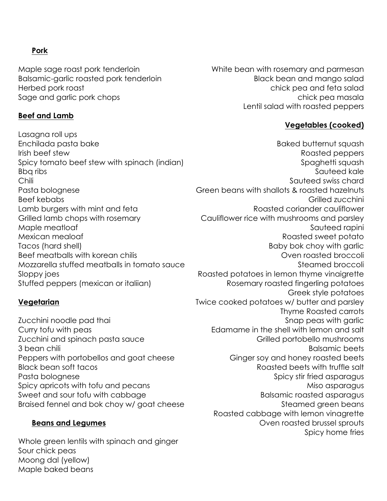## **Pork**

Maple sage roast pork tenderloin Balsamic-garlic roasted pork tenderloin Herbed pork roast Sage and garlic pork chops

#### **Beef and Lamb**

Lasagna roll ups Enchilada pasta bake Irish beef stew Spicy tomato beef stew with spinach (indian) Bbq ribs Chili Pasta bolognese Beef kebabs Lamb burgers with mint and feta Grilled lamb chops with rosemary Maple meatloaf Mexican mealoaf Tacos (hard shell) Beef meatballs with korean chilis Mozzarella stuffed meatballs in tomato sauce Sloppy joes Stuffed peppers (mexican or italiian)

#### **Vegetarian**

Zucchini noodle pad thai Curry tofu with peas Zucchini and spinach pasta sauce 3 bean chili Peppers with portobellos and goat cheese Black bean soft tacos Pasta bolognese Spicy apricots with tofu and pecans Sweet and sour tofu with cabbage Braised fennel and bok choy w/ goat cheese

#### **Beans and Legumes**

Whole green lentils with spinach and ginger Sour chick peas Moong dal (yellow) Maple baked beans

White bean with rosemary and parmesan Black bean and mango salad chick pea and feta salad chick pea masala Lentil salad with roasted peppers

#### **Vegetables (cooked)**

Baked butternut squash Roasted peppers Spaghetti squash Sauteed kale Sauteed swiss chard Green beans with shallots & roasted hazelnuts Grilled zucchini Roasted coriander cauliflower Cauliflower rice with mushrooms and parsley Sauteed rapini Roasted sweet potato Baby bok choy with garlic Oven roasted broccoli Steamed broccoli Roasted potatoes in lemon thyme vinaigrette Rosemary roasted fingerling potatoes Greek style potatoes Twice cooked potatoes w/ butter and parsley Thyme Roasted carrots Snap peas with garlic Edamame in the shell with lemon and salt Grilled portobello mushrooms Balsamic beets Ginger soy and honey roasted beets Roasted beets with truffle salt Spicy stir fried asparagus Miso asparagus Balsamic roasted asparagus Steamed green beans Roasted cabbage with lemon vinagrette Oven roasted brussel sprouts Spicy home fries